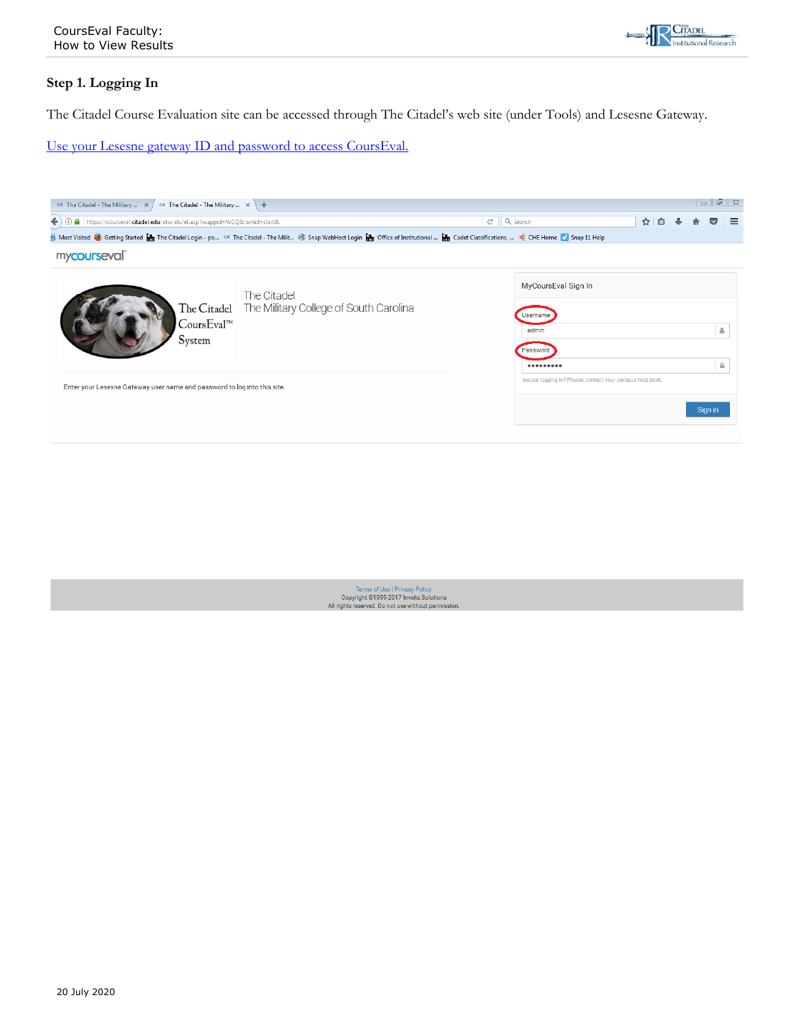

## **Step 1. Logging In**

The Citadel Course Evaluation site can be accessed through The Citadel's web site (under Tools) and Lesesne Gateway.

Use your Lesesne gateway ID and password to access CoursEval.



Terms of Use | Privacy Policy<br>Copyright ©1999-2017 Invoke Solutions All rights reserved. Do not use without permission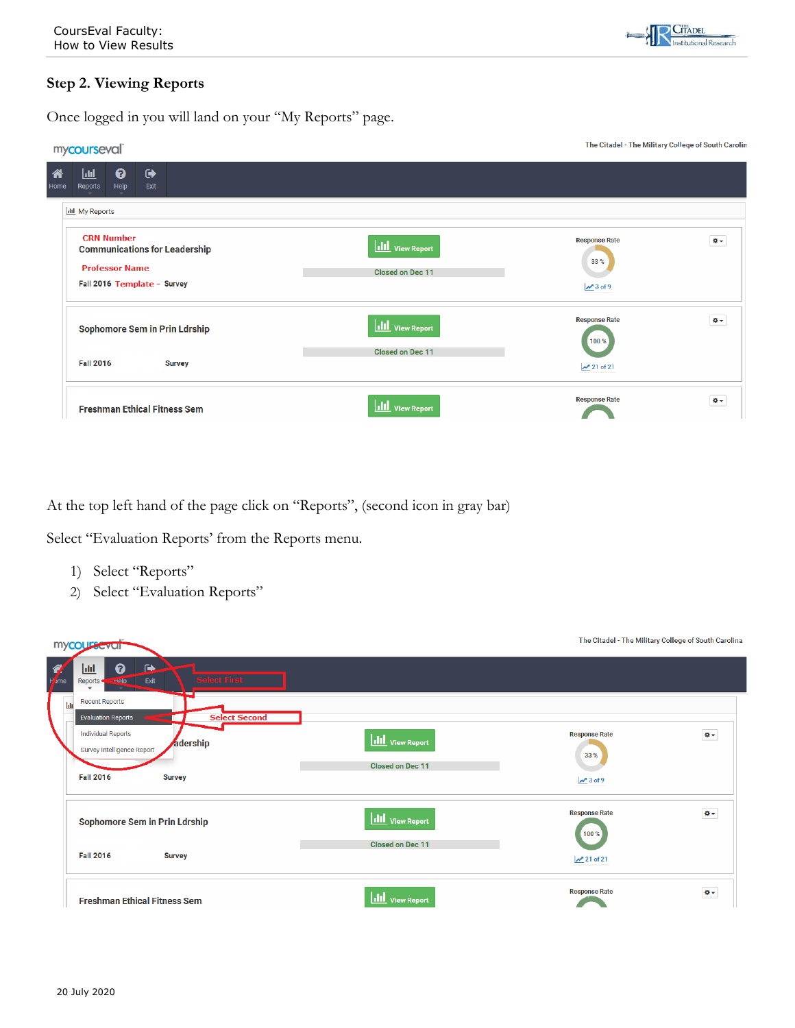

## **Step 2. Viewing Reports**

Once logged in you will land on your "My Reports" page.

| mycourseval                                                                        |                         | The Citadel - The Military College of South Carolin |          |
|------------------------------------------------------------------------------------|-------------------------|-----------------------------------------------------|----------|
| ❷<br>$\ddot{\phantom{1}}$<br> .Iil<br>谷<br>Help<br>Reports<br>Exit<br>Home         |                         |                                                     |          |
| <b>Ill</b> My Reports                                                              |                         |                                                     |          |
| <b>CRN Number</b><br><b>Communications for Leadership</b><br><b>Professor Name</b> | <b>III</b> View Report  | <b>Response Rate</b><br>33%                         | $Q -$    |
| Fall 2016 Template - Survey                                                        | <b>Closed on Dec 11</b> | $×3$ of 9                                           |          |
| <b>Sophomore Sem in Prin Ldrship</b>                                               | <b>III</b> View Report  | <b>Response Rate</b><br>100 %                       | $\Phi$ - |
| <b>Fall 2016</b><br><b>Survey</b>                                                  | <b>Closed on Dec 11</b> | $\mathcal{M}$ 21 of 21                              |          |
| <b>Freshman Ethical Fitness Sem</b>                                                | <b>III</b> View Report  | <b>Response Rate</b>                                | $\Phi$ - |

At the top left hand of the page click on "Reports", (second icon in gray bar)

Select "Evaluation Reports' from the Reports menu.

- 1) Select "Reports"
- 2) Select "Evaluation Reports"

| mycoursevul                                                                                                                                       |                         | The Citadel - The Military College of South Carolina |                |
|---------------------------------------------------------------------------------------------------------------------------------------------------|-------------------------|------------------------------------------------------|----------------|
| $\begin{array}{c}\n\bullet \\ \bullet \\ \bullet\n\end{array}$<br>$\rightarrow$<br>❸<br>画<br><b>Select First</b><br>Exit<br>$   e$ $p$<br>Reports |                         |                                                      |                |
| <b>Recent Reports</b><br>ht<br><b>Select Second</b><br><b>Evaluation Reports</b>                                                                  |                         |                                                      |                |
| <b>Individual Reports</b><br><b>Adership</b><br>Survey Intelligence Report                                                                        | <b>III</b> View Report  | <b>Response Rate</b><br>33%                          | $\Phi(\tau)$   |
| <b>Fall 2016</b><br><b>Survey</b>                                                                                                                 | <b>Closed on Dec 11</b> | $\frac{1}{2}$ 3 of 9                                 |                |
| <b>Sophomore Sem in Prin Ldrship</b>                                                                                                              | <b>III</b> View Report  | <b>Response Rate</b><br>100 %                        | $\pmb{\Phi}$ . |
| <b>Fall 2016</b><br><b>Survey</b>                                                                                                                 | Closed on Dec 11        | $\mathcal{N}$ 21 of 21                               |                |
| <b>Freshman Ethical Fitness Sem</b>                                                                                                               | <b>III</b> View Report  | <b>Response Rate</b>                                 | $Q -$          |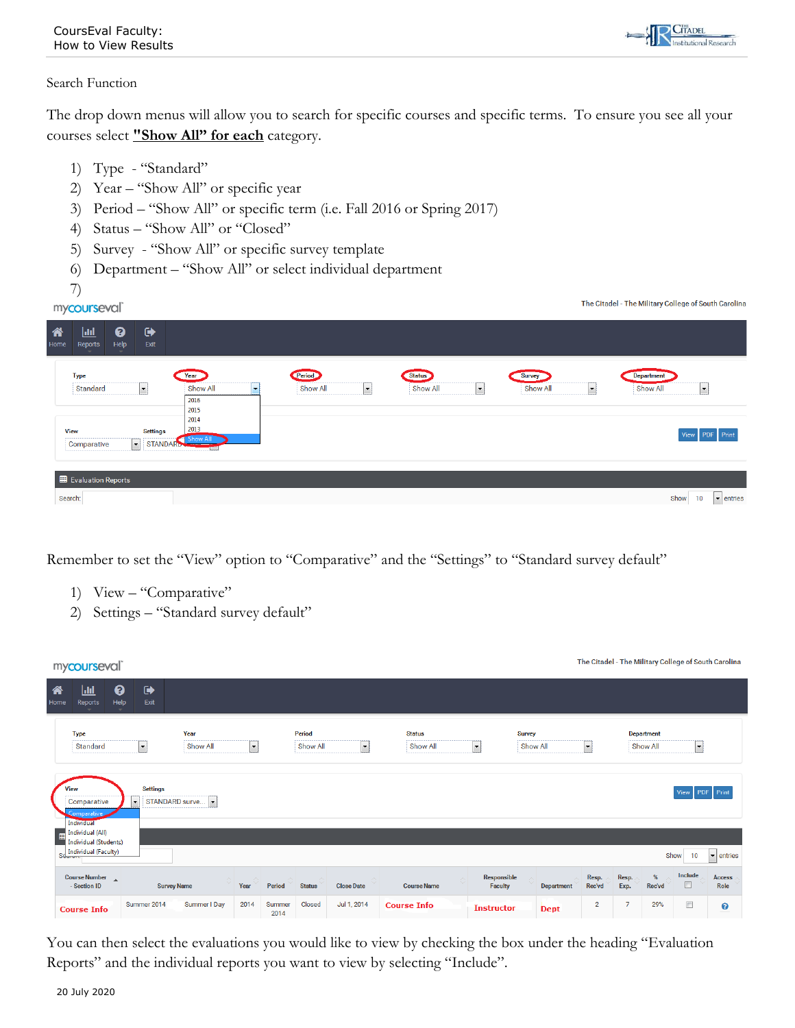**CITADEL** 

## Search Function

The drop down menus will allow you to search for specific courses and specific terms. To ensure you see all your courses select **"Show All" for each** category.

- 1) Type "Standard"
- 2) Year "Show All" or specific year
- 3) Period "Show All" or specific term (i.e. Fall 2016 or Spring 2017)
- 4) Status "Show All" or "Closed"
- 5) Survey "Show All" or specific survey template
- 6) Department "Show All" or select individual department
- 7)

| $\overline{\phantom{a}}$<br>mycourseval                                                                                                        |                                                                                                                                            |                                                |                    |                                                  |                     | The Citadel - The Military College of South Carolina                   |
|------------------------------------------------------------------------------------------------------------------------------------------------|--------------------------------------------------------------------------------------------------------------------------------------------|------------------------------------------------|--------------------|--------------------------------------------------|---------------------|------------------------------------------------------------------------|
| $\boldsymbol{\Theta}$<br>俗<br>$\ddot{\phantom{1}}$<br>圃<br>Help<br>Exit<br>Reports<br>Home                                                     |                                                                                                                                            |                                                |                    |                                                  |                     |                                                                        |
| <b>Type</b><br>$\vert \cdot \vert$<br>Standard<br><b>View</b><br><b>Settings</b><br>$\overline{\phantom{a}}$<br>Comparative<br><b>STANDARD</b> | Year<br>Show All<br>$\overline{\phantom{a}}$<br>2016<br>2015<br>2014<br>2013<br><b>Show All</b><br><b><i><u>Property Community</u></i></b> | Period<br>Show All<br>$\overline{\phantom{a}}$ | Status<br>Show All | Survey<br><b>Show All</b><br>$\vert \cdot \vert$ | $\vert \cdot \vert$ | <b>Department</b><br>Show All<br>$\vert \cdot \vert$<br>View PDF Print |
| Evaluation Reports<br>Search:                                                                                                                  |                                                                                                                                            |                                                |                    |                                                  |                     | Show<br>10<br>$\blacktriangleright$ entries                            |

Remember to set the "View" option to "Comparative" and the "Settings" to "Standard survey default"

- 1) View "Comparative"
- 2) Settings "Standard survey default"

|           | mycourseval                                                              |                              |                  |                      |                |                    |                               |                           |                          |                           |             |                     |                |                               |                     | The Citadel - The Military College of South Carolina |
|-----------|--------------------------------------------------------------------------|------------------------------|------------------|----------------------|----------------|--------------------|-------------------------------|---------------------------|--------------------------|---------------------------|-------------|---------------------|----------------|-------------------------------|---------------------|------------------------------------------------------|
| 谷<br>Home | 國<br>❷<br>Help<br>Reports                                                | $\ddot{\phantom{1}}$<br>Exit |                  |                      |                |                    |                               |                           |                          |                           |             |                     |                |                               |                     |                                                      |
|           | <b>Type</b><br>Standard                                                  | $\blacksquare$               | Year<br>Show All | $\blacktriangledown$ |                | Period<br>Show All | $\blacksquare$                | <b>Status</b><br>Show All | $\overline{\phantom{a}}$ | <b>Survey</b><br>Show All |             | $\vert \cdot \vert$ |                | <b>Department</b><br>Show All | $\vert \cdot \vert$ |                                                      |
|           | View<br>Comparative<br>Comparative<br><b>Individual</b>                  | <b>Settings</b><br>v.        | STANDARD surve   |                      |                |                    |                               |                           |                          |                           |             |                     |                |                               | View                | <b>PDF</b> Print                                     |
|           | Individual (All)<br><b>Individual (Students)</b><br>Individual (Faculty) |                              |                  |                      |                |                    |                               |                           |                          |                           |             |                     |                | Show                          | 10                  | $\vert$ $\vert$ entries                              |
|           | Course Number<br>- Section ID                                            | <b>Survey Name</b>           | $\wedge$         | Year                 | Period         | <b>Status</b>      | $\wedge$<br><b>Close Date</b> | <b>Course Name</b>        | Responsible<br>Faculty   |                           | Department  | Resp.<br>Rec'vd     | Resp.<br>Exp.  | $\%$<br>Rec'vd                | Include<br>$\Box$   | <b>Access</b><br>Role                                |
|           | <b>Course Info</b>                                                       | Summer 2014                  | Summer I Day     | 2014                 | Summer<br>2014 | Closed             | Jul 1, 2014                   | <b>Course Info</b>        | <b>Instructor</b>        |                           | <b>Dept</b> | $\overline{2}$      | $\overline{7}$ | 29%                           | $\Box$              | ◉                                                    |

You can then select the evaluations you would like to view by checking the box under the heading "Evaluation Reports" and the individual reports you want to view by selecting "Include".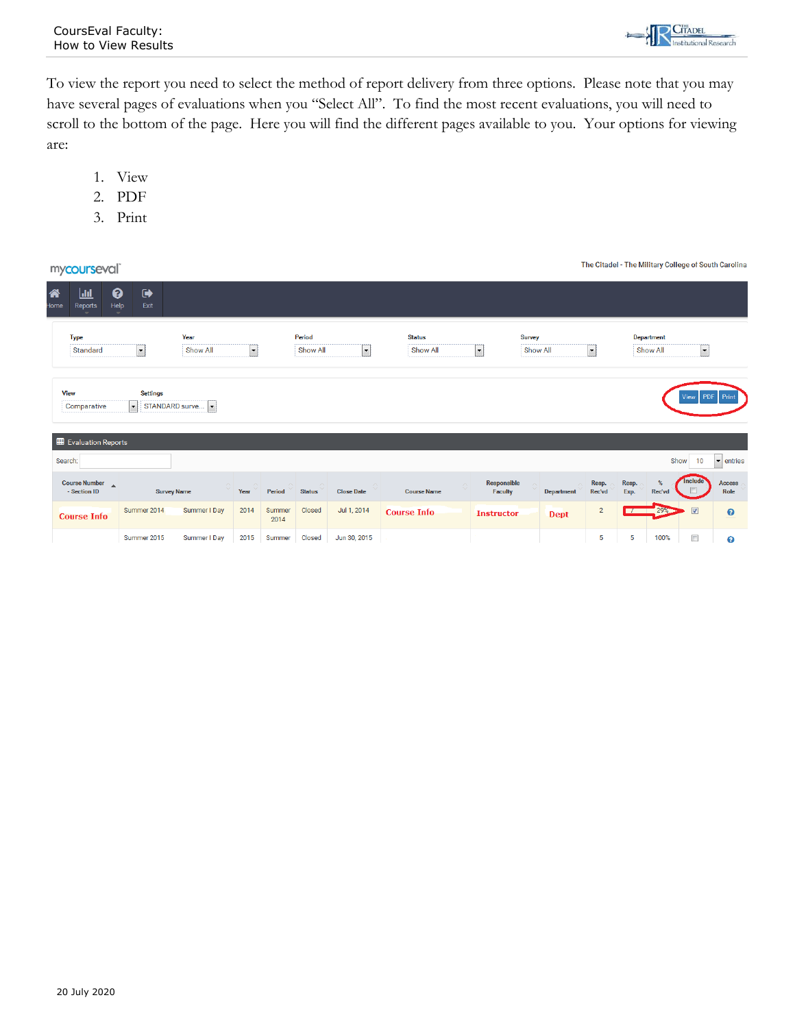To view the report you need to select the method of report delivery from three options. Please note that you may have several pages of evaluations when you "Select All". To find the most recent evaluations, you will need to scroll to the bottom of the page. Here you will find the different pages available to you. Your options for viewing are:

- 1. View
- 2. PDF
- 3. Print

| mycourseval                                            |                                                                        |                   |                |                    |                     |                           |                                      |                   |                 |               |                        |                          | The Citadel - The Military College of South Carolina |
|--------------------------------------------------------|------------------------------------------------------------------------|-------------------|----------------|--------------------|---------------------|---------------------------|--------------------------------------|-------------------|-----------------|---------------|------------------------|--------------------------|------------------------------------------------------|
| 俗<br>匝<br>Home<br>Reports                              | ❷<br>$\ddot{\phantom{1}}$<br>Help<br>Exit                              |                   |                |                    |                     |                           |                                      |                   |                 |               |                        |                          |                                                      |
| <b>Type</b><br>Standard                                | Year<br>Show All<br>$ \bullet $                                        | $\vert$ - $\vert$ |                | Period<br>Show All | $\vert \cdot \vert$ | <b>Status</b><br>Show All | <b>Survey</b><br>$\vert \cdot \vert$ | Show All          | $ \bullet $     |               | Department<br>Show All | $\vert \cdot \vert$      |                                                      |
| <b>View</b><br>Comparative                             | <b>Settings</b><br>$\left  \rule{0pt}{10pt} \right.$<br>STANDARD surve |                   |                |                    |                     |                           |                                      |                   |                 |               |                        | View PDF Print           |                                                      |
| Evaluation Reports                                     |                                                                        |                   |                |                    |                     |                           |                                      |                   |                 |               |                        |                          |                                                      |
| Search:                                                |                                                                        |                   |                |                    |                     |                           |                                      |                   |                 |               | Show                   | 10                       | $\blacktriangleright$ entries                        |
| Course Number $\overline{\phantom{a}}$<br>- Section ID | <b>Survey Name</b>                                                     | Year              | Period         | <b>Status</b>      | <b>Close Date</b>   | <b>Course Name</b>        | Responsible<br>Faculty               | <b>Department</b> | Resp.<br>Rec'vd | Resp.<br>Exp. | Rec'vd                 | <b>Include</b><br>$\Box$ | <b>Access</b><br>Role                                |
| <b>Course Info</b>                                     | Summer 2014<br>Summer I Day                                            | 2014              | Summer<br>2014 | Closed             | Jul 1, 2014         | <b>Course Info</b>        | <b>Instructor</b>                    | <b>Dept</b>       | $\overline{2}$  | ┏             | 29%                    | $\overline{\mathbf{v}}$  | $\bullet$                                            |
|                                                        | Summer 2015<br>Summer I Day                                            | 2015              | Summer         | Closed             | Jun 30, 2015        |                           |                                      |                   | 5               | 5             | 100%                   | $\Box$                   | ◉                                                    |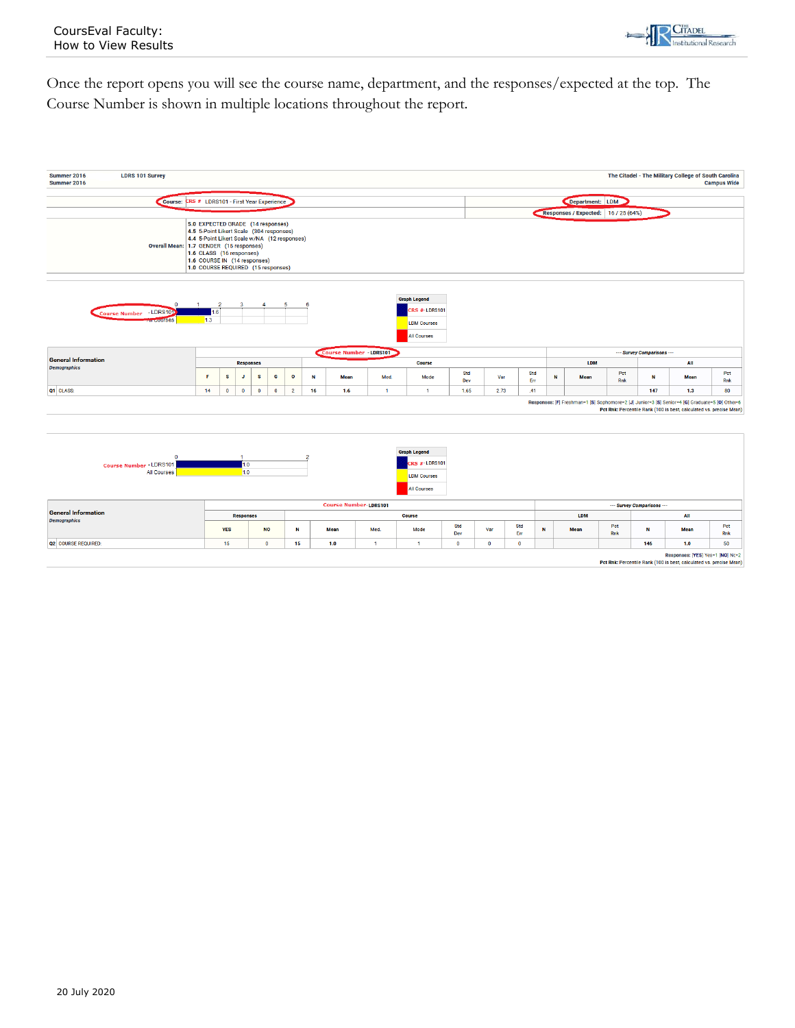

Once the report opens you will see the course name, department, and the responses/expected at the top. The Course Number is shown in multiple locations throughout the report.



Responses: [YES] Yes=1 [NO] No=2<br>Pct Rnk: Percentile Rank (100 is best, calculated vs. precise Mean)